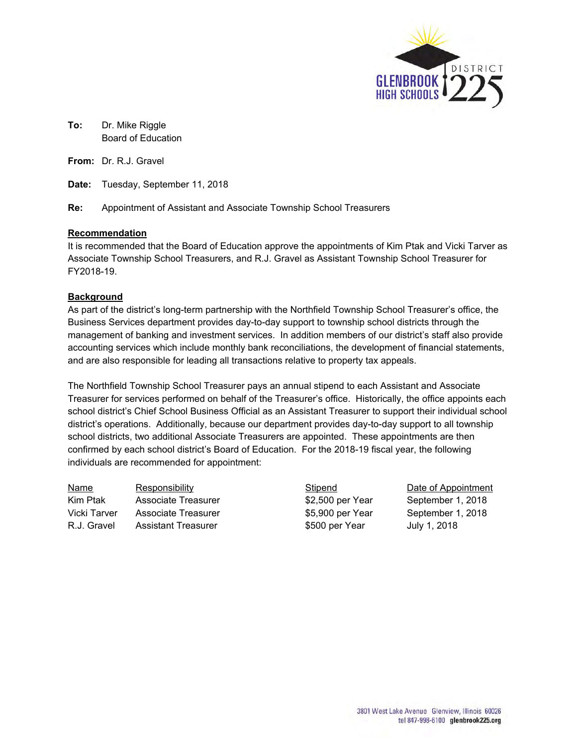

**To:** Dr. Mike Riggle Board of Education

**From:** Dr. R.J. Gravel

**Date:** Tuesday, September 11, 2018

**Re:** Appointment of Assistant and Associate Township School Treasurers

## **Recommendation**

It is recommended that the Board of Education approve the appointments of Kim Ptak and Vicki Tarver as Associate Township School Treasurers, and R.J. Gravel as Assistant Township School Treasurer for FY2018-19.

## **Background**

As part of the district's long-term partnership with the Northfield Township School Treasurer's office, the Business Services department provides day-to-day support to township school districts through the management of banking and investment services. In addition members of our district's staff also provide accounting services which include monthly bank reconciliations, the development of financial statements, and are also responsible for leading all transactions relative to property tax appeals.

The Northfield Township School Treasurer pays an annual stipend to each Assistant and Associate Treasurer for services performed on behalf of the Treasurer's office. Historically, the office appoints each school district's Chief School Business Official as an Assistant Treasurer to support their individual school district's operations. Additionally, because our department provides day-to-day support to all township school districts, two additional Associate Treasurers are appointed. These appointments are then confirmed by each school district's Board of Education. For the 2018-19 fiscal year, the following individuals are recommended for appointment:

Name Responsibility **Stipend** Date of Appointment Kim Ptak Associate Treasurer **\$2,500 per Year** September 1, 2018 Vicki Tarver Associate Treasurer **\$5,900 per Year** September 1, 2018 R.J. Gravel Assistant Treasurer **\$500 per Year** July 1, 2018